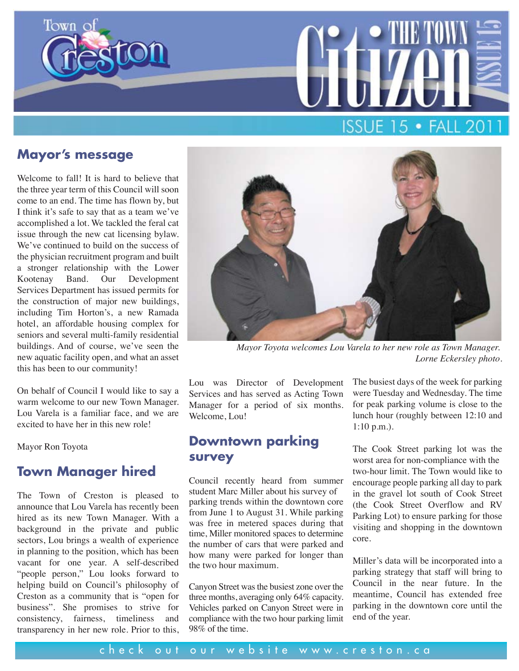

#### **Mayor's message**

Welcome to fall! It is hard to believe that the three year term of this Council will soon come to an end. The time has flown by, but I think it's safe to say that as a team we've accomplished a lot. We tackled the feral cat issue through the new cat licensing bylaw. We've continued to build on the success of the physician recruitment program and built a stronger relationship with the Lower Kootenay Band. Our Development Services Department has issued permits for the construction of major new buildings, including Tim Horton's, a new Ramada hotel, an affordable housing complex for seniors and several multi-family residential buildings. And of course, we've seen the new aquatic facility open, and what an asset this has been to our community!

On behalf of Council I would like to say a warm welcome to our new Town Manager. Lou Varela is a familiar face, and we are excited to have her in this new role!

Mayor Ron Toyota

#### **Town Manager hired**

The Town of Creston is pleased to announce that Lou Varela has recently been hired as its new Town Manager. With a background in the private and public sectors, Lou brings a wealth of experience in planning to the position, which has been vacant for one year. A self-described "people person," Lou looks forward to helping build on Council's philosophy of Creston as a community that is "open for business". She promises to strive for consistency, fairness, timeliness and transparency in her new role. Prior to this,



*Mayor Toyota welcomes Lou Varela to her new role as Town Manager. Lorne Eckersley photo.*

Lou was Director of Development Services and has served as Acting Town Manager for a period of six months. Welcome, Lou!

#### **Downtown parking survey**

Council recently heard from summer student Marc Miller about his survey of parking trends within the downtown core from June 1 to August 31. While parking was free in metered spaces during that time, Miller monitored spaces to determine the number of cars that were parked and how many were parked for longer than the two hour maximum.

Canyon Street was the busiest zone over the three months, averaging only 64% capacity. Vehicles parked on Canyon Street were in compliance with the two hour parking limit 98% of the time.

The busiest days of the week for parking were Tuesday and Wednesday. The time for peak parking volume is close to the lunch hour (roughly between 12:10 and 1:10 p.m.).

The Cook Street parking lot was the worst area for non-compliance with the two-hour limit. The Town would like to encourage people parking all day to park in the gravel lot south of Cook Street (the Cook Street Overflow and RV Parking Lot) to ensure parking for those visiting and shopping in the downtown core.

Miller's data will be incorporated into a parking strategy that staff will bring to Council in the near future. In the meantime, Council has extended free parking in the downtown core until the end of the year.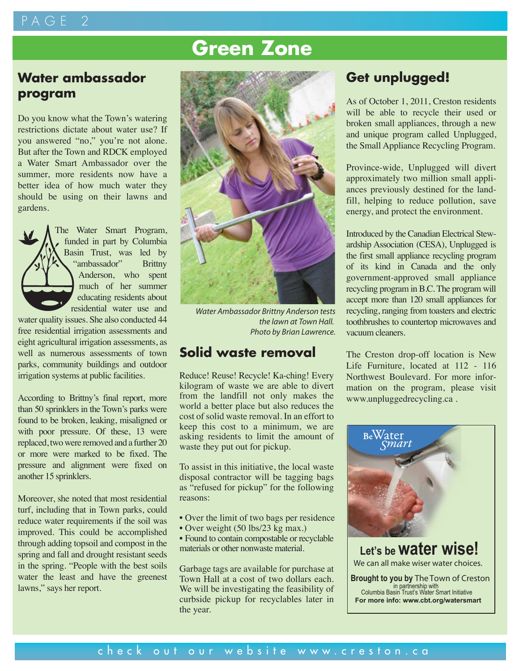# PAGE

# **Green Zone**

## **Water ambassador program**

Do you know what the Town's watering restrictions dictate about water use? If you answered "no," you're not alone. But after the Town and RDCK employed a Water Smart Ambassador over the summer, more residents now have a better idea of how much water they should be using on their lawns and gardens.

The Water Smart Program, funded in part by Columbia Basin Trust, was led by "ambassador" Brittny Anderson, who spent much of her summer educating residents about residential water use and

water quality issues. She also conducted 44 free residential irrigation assessments and eight agricultural irrigation assessments, as well as numerous assessments of town parks, community buildings and outdoor irrigation systems at public facilities.

According to Brittny's final report, more than 50 sprinklers in the Town's parks were found to be broken, leaking, misaligned or with poor pressure. Of these, 13 were replaced, two were removed and a further 20 or more were marked to be fixed. The pressure and alignment were fixed on another 15 sprinklers.

Moreover, she noted that most residential turf, including that in Town parks, could reduce water requirements if the soil was improved. This could be accomplished through adding topsoil and compost in the spring and fall and drought resistant seeds in the spring. "People with the best soils water the least and have the greenest lawns," says her report.



*Water Ambassador Brittny Anderson tests the lawn at Town Hall. Photo by Brian Lawrence.*

## **Solid waste removal**

Reduce! Reuse! Recycle! Ka-ching! Every kilogram of waste we are able to divert from the landfill not only makes the world a better place but also reduces the cost of solid waste removal. In an effort to keep this cost to a minimum, we are asking residents to limit the amount of waste they put out for pickup.

To assist in this initiative, the local waste disposal contractor will be tagging bags as "refused for pickup" for the following reasons:

- Over the limit of two bags per residence
- Over weight (50 lbs/23 kg max.)

• Found to contain compostable or recyclable materials or other nonwaste material.

Garbage tags are available for purchase at Town Hall at a cost of two dollars each. We will be investigating the feasibility of curbside pickup for recyclables later in the year.

# **Get unplugged!**

As of October 1, 2011, Creston residents will be able to recycle their used or broken small appliances, through a new and unique program called Unplugged, the Small Appliance Recycling Program.

Province-wide, Unplugged will divert approximately two million small appliances previously destined for the landfill, helping to reduce pollution, save energy, and protect the environment.

Introduced by the Canadian Electrical Stewardship Association (CESA), Unplugged is the first small appliance recycling program of its kind in Canada and the only government-approved small appliance recycling program in B.C. The program will accept more than 120 small appliances for recycling, ranging from toasters and electric toothbrushes to countertop microwaves and vacuum cleaners.

The Creston drop-off location is New Life Furniture, located at 112 - 116 Northwest Boulevard. For more information on the program, please visit www.unpluggedrecycling.ca .



**Let's be water wise!** We can all make wiser water choices.

**Brought to you by The Town of Creston** in partnership with Columbia Basin Trust's Water Smart Initiative **For more info: www.cbt.org/watersmart**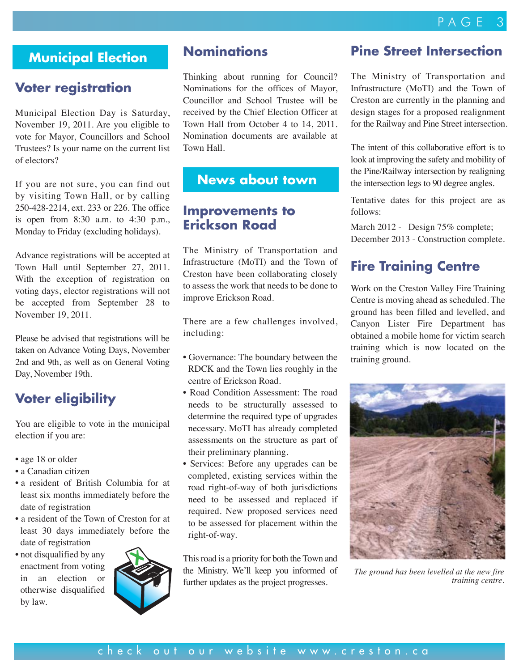# **Municipal Election**

#### **Voter registration**

Municipal Election Day is Saturday, November 19, 2011. Are you eligible to vote for Mayor, Councillors and School Trustees? Is your name on the current list of electors?

If you are not sure, you can find out by visiting Town Hall, or by calling 250-428-2214, ext. 233 or 226. The office is open from 8:30 a.m. to 4:30 p.m., Monday to Friday (excluding holidays).

Advance registrations will be accepted at Town Hall until September 27, 2011. With the exception of registration on voting days, elector registrations will not be accepted from September 28 to November 19, 2011.

Please be advised that registrations will be taken on Advance Voting Days, November 2nd and 9th, as well as on General Voting Day, November 19th.

#### **Voter eligibility**

You are eligible to vote in the municipal election if you are:

- age 18 or older
- a Canadian citizen
- a resident of British Columbia for at least six months immediately before the date of registration
- a resident of the Town of Creston for at least 30 days immediately before the date of registration
- not disqualified by any enactment from voting in an election or otherwise disqualified by law.



## **Nominations**

Thinking about running for Council? Nominations for the offices of Mayor, Councillor and School Trustee will be received by the Chief Election Officer at Town Hall from October 4 to 14, 2011. Nomination documents are available at Town Hall.

#### **News about town**

#### **Improvements to Erickson Road**

The Ministry of Transportation and Infrastructure (MoTI) and the Town of Creston have been collaborating closely to assess the work that needs to be done to improve Erickson Road.

There are a few challenges involved, including:

- Governance: The boundary between the RDCK and the Town lies roughly in the centre of Erickson Road.
- Road Condition Assessment: The road needs to be structurally assessed to determine the required type of upgrades necessary. MoTI has already completed assessments on the structure as part of their preliminary planning.
- Services: Before any upgrades can be completed, existing services within the road right-of-way of both jurisdictions need to be assessed and replaced if required. New proposed services need to be assessed for placement within the right-of-way.

This road is a priority for both the Town and the Ministry. We'll keep you informed of further updates as the project progresses.

## **Pine Street Intersection**

The Ministry of Transportation and Infrastructure (MoTI) and the Town of Creston are currently in the planning and design stages for a proposed realignment for the Railway and Pine Street intersection.

The intent of this collaborative effort is to look at improving the safety and mobility of the Pine/Railway intersection by realigning the intersection legs to 90 degree angles.

Tentative dates for this project are as follows:

March 2012 - Design 75% complete; December 2013 - Construction complete.

# **Fire Training Centre**

Work on the Creston Valley Fire Training Centre is moving ahead as scheduled. The ground has been filled and levelled, and Canyon Lister Fire Department has obtained a mobile home for victim search training which is now located on the training ground.



*The ground has been levelled at the new fire training centre.*